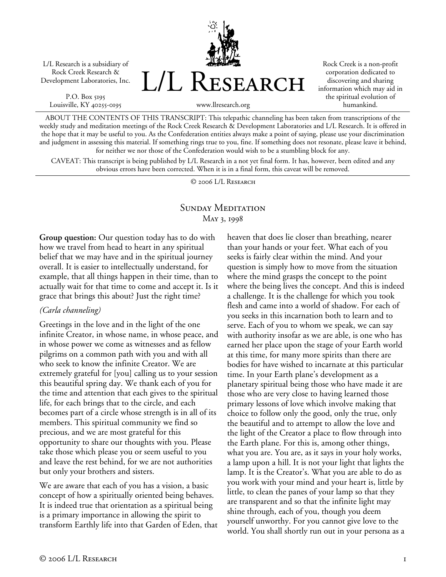L/L Research is a subsidiary of Rock Creek Research & Development Laboratories, Inc.

P.O. Box 5195 Louisville, KY 40255-0195



Rock Creek is a non-profit corporation dedicated to discovering and sharing information which may aid in the spiritual evolution of humankind.

www.llresearch.org

ABOUT THE CONTENTS OF THIS TRANSCRIPT: This telepathic channeling has been taken from transcriptions of the weekly study and meditation meetings of the Rock Creek Research & Development Laboratories and L/L Research. It is offered in the hope that it may be useful to you. As the Confederation entities always make a point of saying, please use your discrimination and judgment in assessing this material. If something rings true to you, fine. If something does not resonate, please leave it behind, for neither we nor those of the Confederation would wish to be a stumbling block for any.

CAVEAT: This transcript is being published by L/L Research in a not yet final form. It has, however, been edited and any obvious errors have been corrected. When it is in a final form, this caveat will be removed.

© 2006 L/L Research

## SUNDAY MEDITATION May 3, 1998

**Group question:** Our question today has to do with how we travel from head to heart in any spiritual belief that we may have and in the spiritual journey overall. It is easier to intellectually understand, for example, that all things happen in their time, than to actually wait for that time to come and accept it. Is it grace that brings this about? Just the right time?

## *(Carla channeling)*

Greetings in the love and in the light of the one infinite Creator, in whose name, in whose peace, and in whose power we come as witnesses and as fellow pilgrims on a common path with you and with all who seek to know the infinite Creator. We are extremely grateful for [you] calling us to your session this beautiful spring day. We thank each of you for the time and attention that each gives to the spiritual life, for each brings that to the circle, and each becomes part of a circle whose strength is in all of its members. This spiritual community we find so precious, and we are most grateful for this opportunity to share our thoughts with you. Please take those which please you or seem useful to you and leave the rest behind, for we are not authorities but only your brothers and sisters.

We are aware that each of you has a vision, a basic concept of how a spiritually oriented being behaves. It is indeed true that orientation as a spiritual being is a primary importance in allowing the spirit to transform Earthly life into that Garden of Eden, that heaven that does lie closer than breathing, nearer than your hands or your feet. What each of you seeks is fairly clear within the mind. And your question is simply how to move from the situation where the mind grasps the concept to the point where the being lives the concept. And this is indeed a challenge. It is the challenge for which you took flesh and came into a world of shadow. For each of you seeks in this incarnation both to learn and to serve. Each of you to whom we speak, we can say with authority insofar as we are able, is one who has earned her place upon the stage of your Earth world at this time, for many more spirits than there are bodies for have wished to incarnate at this particular time. In your Earth plane's development as a planetary spiritual being those who have made it are those who are very close to having learned those primary lessons of love which involve making that choice to follow only the good, only the true, only the beautiful and to attempt to allow the love and the light of the Creator a place to flow through into the Earth plane. For this is, among other things, what you are. You are, as it says in your holy works, a lamp upon a hill. It is not your light that lights the lamp. It is the Creator's. What you are able to do as you work with your mind and your heart is, little by little, to clean the panes of your lamp so that they are transparent and so that the infinite light may shine through, each of you, though you deem yourself unworthy. For you cannot give love to the world. You shall shortly run out in your persona as a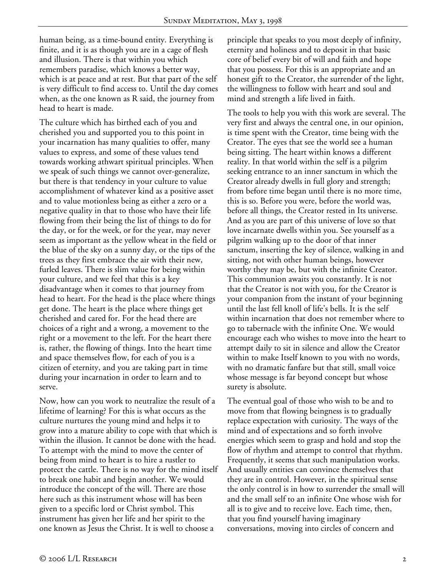human being, as a time-bound entity. Everything is finite, and it is as though you are in a cage of flesh and illusion. There is that within you which remembers paradise, which knows a better way, which is at peace and at rest. But that part of the self is very difficult to find access to. Until the day comes when, as the one known as R said, the journey from head to heart is made.

The culture which has birthed each of you and cherished you and supported you to this point in your incarnation has many qualities to offer, many values to express, and some of these values tend towards working athwart spiritual principles. When we speak of such things we cannot over-generalize, but there is that tendency in your culture to value accomplishment of whatever kind as a positive asset and to value motionless being as either a zero or a negative quality in that to those who have their life flowing from their being the list of things to do for the day, or for the week, or for the year, may never seem as important as the yellow wheat in the field or the blue of the sky on a sunny day, or the tips of the trees as they first embrace the air with their new, furled leaves. There is slim value for being within your culture, and we feel that this is a key disadvantage when it comes to that journey from head to heart. For the head is the place where things get done. The heart is the place where things get cherished and cared for. For the head there are choices of a right and a wrong, a movement to the right or a movement to the left. For the heart there is, rather, the flowing of things. Into the heart time and space themselves flow, for each of you is a citizen of eternity, and you are taking part in time during your incarnation in order to learn and to serve.

Now, how can you work to neutralize the result of a lifetime of learning? For this is what occurs as the culture nurtures the young mind and helps it to grow into a mature ability to cope with that which is within the illusion. It cannot be done with the head. To attempt with the mind to move the center of being from mind to heart is to hire a rustler to protect the cattle. There is no way for the mind itself to break one habit and begin another. We would introduce the concept of the will. There are those here such as this instrument whose will has been given to a specific lord or Christ symbol. This instrument has given her life and her spirit to the one known as Jesus the Christ. It is well to choose a

principle that speaks to you most deeply of infinity, eternity and holiness and to deposit in that basic core of belief every bit of will and faith and hope that you possess. For this is an appropriate and an honest gift to the Creator, the surrender of the light, the willingness to follow with heart and soul and mind and strength a life lived in faith.

The tools to help you with this work are several. The very first and always the central one, in our opinion, is time spent with the Creator, time being with the Creator. The eyes that see the world see a human being sitting. The heart within knows a different reality. In that world within the self is a pilgrim seeking entrance to an inner sanctum in which the Creator already dwells in full glory and strength; from before time began until there is no more time, this is so. Before you were, before the world was, before all things, the Creator rested in Its universe. And as you are part of this universe of love so that love incarnate dwells within you. See yourself as a pilgrim walking up to the door of that inner sanctum, inserting the key of silence, walking in and sitting, not with other human beings, however worthy they may be, but with the infinite Creator. This communion awaits you constantly. It is not that the Creator is not with you, for the Creator is your companion from the instant of your beginning until the last fell knoll of life's bells. It is the self within incarnation that does not remember where to go to tabernacle with the infinite One. We would encourage each who wishes to move into the heart to attempt daily to sit in silence and allow the Creator within to make Itself known to you with no words, with no dramatic fanfare but that still, small voice whose message is far beyond concept but whose surety is absolute.

The eventual goal of those who wish to be and to move from that flowing beingness is to gradually replace expectation with curiosity. The ways of the mind and of expectations and so forth involve energies which seem to grasp and hold and stop the flow of rhythm and attempt to control that rhythm. Frequently, it seems that such manipulation works. And usually entities can convince themselves that they are in control. However, in the spiritual sense the only control is in how to surrender the small will and the small self to an infinite One whose wish for all is to give and to receive love. Each time, then, that you find yourself having imaginary conversations, moving into circles of concern and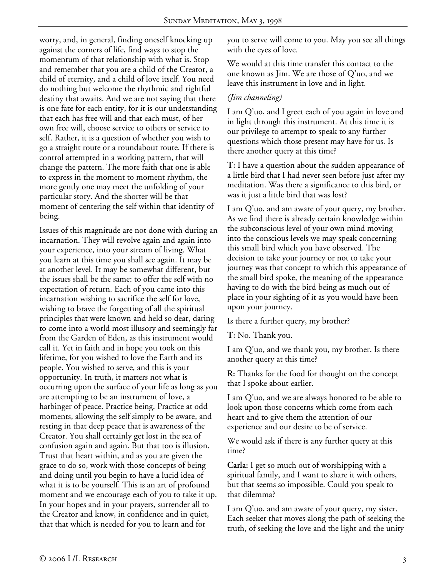worry, and, in general, finding oneself knocking up against the corners of life, find ways to stop the momentum of that relationship with what is. Stop and remember that you are a child of the Creator, a child of eternity, and a child of love itself. You need do nothing but welcome the rhythmic and rightful destiny that awaits. And we are not saying that there is one fate for each entity, for it is our understanding that each has free will and that each must, of her own free will, choose service to others or service to self. Rather, it is a question of whether you wish to go a straight route or a roundabout route. If there is control attempted in a working pattern, that will change the pattern. The more faith that one is able to express in the moment to moment rhythm, the more gently one may meet the unfolding of your particular story. And the shorter will be that moment of centering the self within that identity of being.

Issues of this magnitude are not done with during an incarnation. They will revolve again and again into your experience, into your stream of living. What you learn at this time you shall see again. It may be at another level. It may be somewhat different, but the issues shall be the same: to offer the self with no expectation of return. Each of you came into this incarnation wishing to sacrifice the self for love, wishing to brave the forgetting of all the spiritual principles that were known and held so dear, daring to come into a world most illusory and seemingly far from the Garden of Eden, as this instrument would call it. Yet in faith and in hope you took on this lifetime, for you wished to love the Earth and its people. You wished to serve, and this is your opportunity. In truth, it matters not what is occurring upon the surface of your life as long as you are attempting to be an instrument of love, a harbinger of peace. Practice being. Practice at odd moments, allowing the self simply to be aware, and resting in that deep peace that is awareness of the Creator. You shall certainly get lost in the sea of confusion again and again. But that too is illusion. Trust that heart within, and as you are given the grace to do so, work with those concepts of being and doing until you begin to have a lucid idea of what it is to be yourself. This is an art of profound moment and we encourage each of you to take it up. In your hopes and in your prayers, surrender all to the Creator and know, in confidence and in quiet, that that which is needed for you to learn and for

you to serve will come to you. May you see all things with the eyes of love.

We would at this time transfer this contact to the one known as Jim. We are those of Q'uo, and we leave this instrument in love and in light.

## *(Jim channeling)*

I am Q'uo, and I greet each of you again in love and in light through this instrument. At this time it is our privilege to attempt to speak to any further questions which those present may have for us. Is there another query at this time?

**T:** I have a question about the sudden appearance of a little bird that I had never seen before just after my meditation. Was there a significance to this bird, or was it just a little bird that was lost?

I am Q'uo, and am aware of your query, my brother. As we find there is already certain knowledge within the subconscious level of your own mind moving into the conscious levels we may speak concerning this small bird which you have observed. The decision to take your journey or not to take your journey was that concept to which this appearance of the small bird spoke, the meaning of the appearance having to do with the bird being as much out of place in your sighting of it as you would have been upon your journey.

Is there a further query, my brother?

**T:** No. Thank you.

I am Q'uo, and we thank you, my brother. Is there another query at this time?

**R:** Thanks for the food for thought on the concept that I spoke about earlier.

I am Q'uo, and we are always honored to be able to look upon those concerns which come from each heart and to give them the attention of our experience and our desire to be of service.

We would ask if there is any further query at this time?

**Carla:** I get so much out of worshipping with a spiritual family, and I want to share it with others, but that seems so impossible. Could you speak to that dilemma?

I am Q'uo, and am aware of your query, my sister. Each seeker that moves along the path of seeking the truth, of seeking the love and the light and the unity